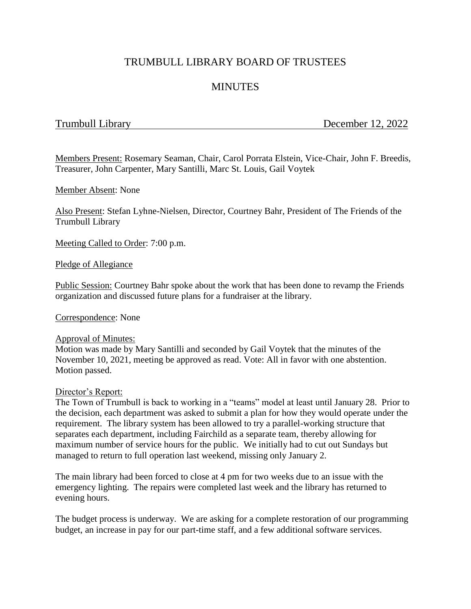# TRUMBULL LIBRARY BOARD OF TRUSTEES

# **MINUTES**

Trumbull Library December 12, 2022

Members Present: Rosemary Seaman, Chair, Carol Porrata Elstein, Vice-Chair, John F. Breedis, Treasurer, John Carpenter, Mary Santilli, Marc St. Louis, Gail Voytek

Member Absent: None

Also Present: Stefan Lyhne-Nielsen, Director, Courtney Bahr, President of The Friends of the Trumbull Library

Meeting Called to Order: 7:00 p.m.

Pledge of Allegiance

Public Session: Courtney Bahr spoke about the work that has been done to revamp the Friends organization and discussed future plans for a fundraiser at the library.

Correspondence: None

#### Approval of Minutes:

Motion was made by Mary Santilli and seconded by Gail Voytek that the minutes of the November 10, 2021, meeting be approved as read. Vote: All in favor with one abstention. Motion passed.

#### Director's Report:

The Town of Trumbull is back to working in a "teams" model at least until January 28. Prior to the decision, each department was asked to submit a plan for how they would operate under the requirement. The library system has been allowed to try a parallel-working structure that separates each department, including Fairchild as a separate team, thereby allowing for maximum number of service hours for the public. We initially had to cut out Sundays but managed to return to full operation last weekend, missing only January 2.

The main library had been forced to close at 4 pm for two weeks due to an issue with the emergency lighting. The repairs were completed last week and the library has returned to evening hours.

The budget process is underway. We are asking for a complete restoration of our programming budget, an increase in pay for our part-time staff, and a few additional software services.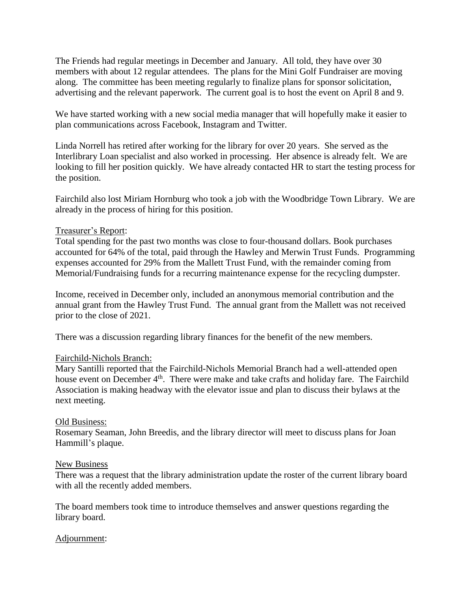The Friends had regular meetings in December and January. All told, they have over 30 members with about 12 regular attendees. The plans for the Mini Golf Fundraiser are moving along. The committee has been meeting regularly to finalize plans for sponsor solicitation, advertising and the relevant paperwork. The current goal is to host the event on April 8 and 9.

We have started working with a new social media manager that will hopefully make it easier to plan communications across Facebook, Instagram and Twitter.

Linda Norrell has retired after working for the library for over 20 years. She served as the Interlibrary Loan specialist and also worked in processing. Her absence is already felt. We are looking to fill her position quickly. We have already contacted HR to start the testing process for the position.

Fairchild also lost Miriam Hornburg who took a job with the Woodbridge Town Library. We are already in the process of hiring for this position.

## Treasurer's Report:

Total spending for the past two months was close to four-thousand dollars. Book purchases accounted for 64% of the total, paid through the Hawley and Merwin Trust Funds. Programming expenses accounted for 29% from the Mallett Trust Fund, with the remainder coming from Memorial/Fundraising funds for a recurring maintenance expense for the recycling dumpster.

Income, received in December only, included an anonymous memorial contribution and the annual grant from the Hawley Trust Fund. The annual grant from the Mallett was not received prior to the close of 2021.

There was a discussion regarding library finances for the benefit of the new members.

## Fairchild-Nichols Branch:

Mary Santilli reported that the Fairchild-Nichols Memorial Branch had a well-attended open house event on December 4<sup>th</sup>. There were make and take crafts and holiday fare. The Fairchild Association is making headway with the elevator issue and plan to discuss their bylaws at the next meeting.

## Old Business:

Rosemary Seaman, John Breedis, and the library director will meet to discuss plans for Joan Hammill's plaque.

## New Business

There was a request that the library administration update the roster of the current library board with all the recently added members.

The board members took time to introduce themselves and answer questions regarding the library board.

## Adjournment: